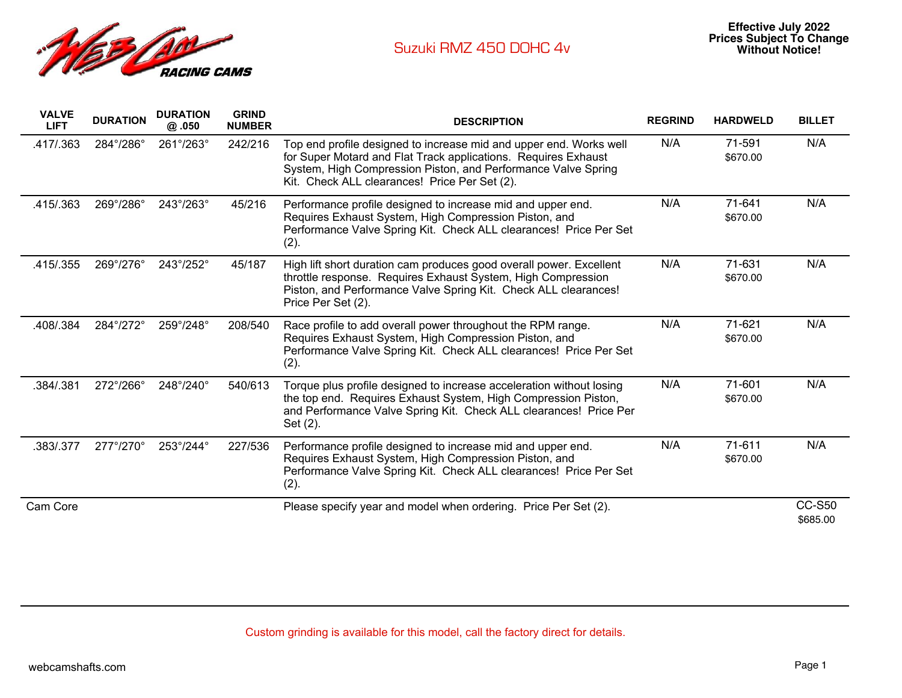

| <b>VALVE</b><br><b>LIFT</b> | <b>DURATION</b> | <b>DURATION</b><br>@ .050 | <b>GRIND</b><br><b>NUMBER</b> | <b>DESCRIPTION</b>                                                                                                                                                                                                                                     | <b>REGRIND</b> | <b>HARDWELD</b>    | <b>BILLET</b>             |
|-----------------------------|-----------------|---------------------------|-------------------------------|--------------------------------------------------------------------------------------------------------------------------------------------------------------------------------------------------------------------------------------------------------|----------------|--------------------|---------------------------|
| .417/.363                   | 284°/286°       | 261°/263°                 | 242/216                       | Top end profile designed to increase mid and upper end. Works well<br>for Super Motard and Flat Track applications. Requires Exhaust<br>System, High Compression Piston, and Performance Valve Spring<br>Kit. Check ALL clearances! Price Per Set (2). | N/A            | 71-591<br>\$670.00 | N/A                       |
| .415/.363                   | 269°/286°       | 243°/263°                 | 45/216                        | Performance profile designed to increase mid and upper end.<br>Requires Exhaust System, High Compression Piston, and<br>Performance Valve Spring Kit. Check ALL clearances! Price Per Set<br>(2).                                                      | N/A            | 71-641<br>\$670.00 | N/A                       |
| .415/.355                   | 269°/276°       | 243°/252°                 | 45/187                        | High lift short duration cam produces good overall power. Excellent<br>throttle response. Requires Exhaust System, High Compression<br>Piston, and Performance Valve Spring Kit. Check ALL clearances!<br>Price Per Set (2).                           | N/A            | 71-631<br>\$670.00 | N/A                       |
| .408/.384                   | 284°/272°       | 259°/248°                 | 208/540                       | Race profile to add overall power throughout the RPM range.<br>Requires Exhaust System, High Compression Piston, and<br>Performance Valve Spring Kit. Check ALL clearances! Price Per Set<br>(2).                                                      | N/A            | 71-621<br>\$670.00 | N/A                       |
| .384/.381                   | 272°/266°       | 248°/240°                 | 540/613                       | Torque plus profile designed to increase acceleration without losing<br>the top end. Requires Exhaust System, High Compression Piston,<br>and Performance Valve Spring Kit. Check ALL clearances! Price Per<br>Set (2).                                | N/A            | 71-601<br>\$670.00 | N/A                       |
| .383/.377                   | 277°/270°       | 253°/244°                 | 227/536                       | Performance profile designed to increase mid and upper end.<br>Requires Exhaust System, High Compression Piston, and<br>Performance Valve Spring Kit. Check ALL clearances! Price Per Set<br>(2).                                                      | N/A            | 71-611<br>\$670.00 | N/A                       |
| Cam Core                    |                 |                           |                               | Please specify year and model when ordering. Price Per Set (2).                                                                                                                                                                                        |                |                    | <b>CC-S50</b><br>\$685.00 |

Custom grinding is available for this model, call the factory direct for details.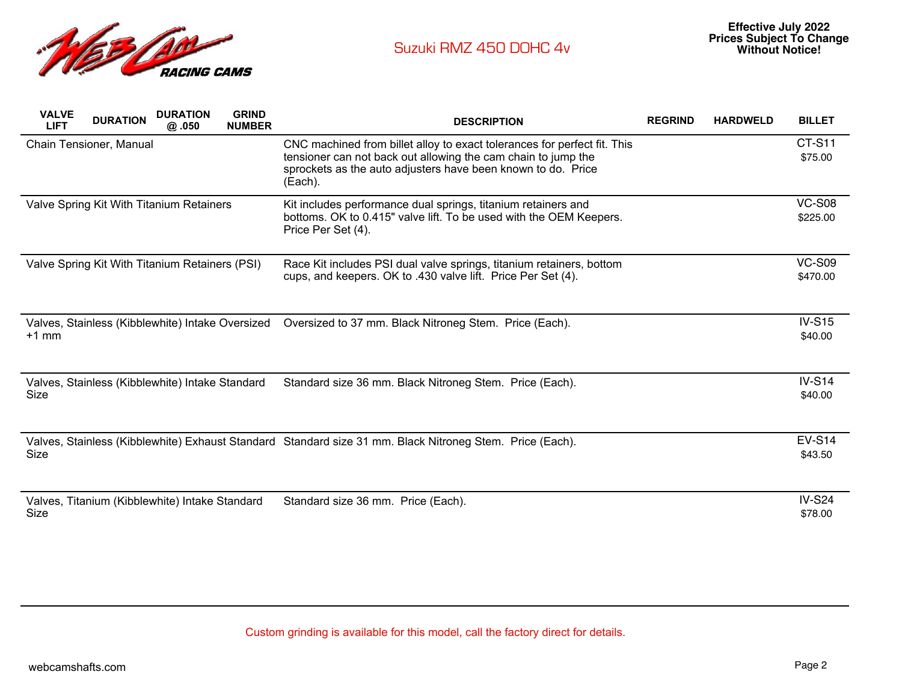

| <b>VALVE</b><br><b>LIFT</b>              | <b>DURATION</b>         | <b>DURATION</b><br>@.050                         | <b>GRIND</b><br><b>NUMBER</b> | <b>DESCRIPTION</b>                                                                                                                                                                                                   | <b>REGRIND</b> | <b>HARDWELD</b> | <b>BILLET</b>             |
|------------------------------------------|-------------------------|--------------------------------------------------|-------------------------------|----------------------------------------------------------------------------------------------------------------------------------------------------------------------------------------------------------------------|----------------|-----------------|---------------------------|
|                                          | Chain Tensioner, Manual |                                                  |                               | CNC machined from billet alloy to exact tolerances for perfect fit. This<br>tensioner can not back out allowing the cam chain to jump the<br>sprockets as the auto adjusters have been known to do. Price<br>(Each). |                |                 | CT-S11<br>\$75.00         |
| Valve Spring Kit With Titanium Retainers |                         |                                                  |                               | Kit includes performance dual springs, titanium retainers and<br>bottoms. OK to 0.415" valve lift. To be used with the OEM Keepers.<br>Price Per Set (4).                                                            |                |                 | <b>VC-S08</b><br>\$225.00 |
|                                          |                         | Valve Spring Kit With Titanium Retainers (PSI)   |                               | Race Kit includes PSI dual valve springs, titanium retainers, bottom<br>cups, and keepers. OK to .430 valve lift. Price Per Set (4).                                                                                 |                |                 | <b>VC-S09</b><br>\$470.00 |
| $+1$ mm                                  |                         | Valves, Stainless (Kibblewhite) Intake Oversized |                               | Oversized to 37 mm. Black Nitroneg Stem. Price (Each).                                                                                                                                                               |                |                 | $IV-S15$<br>\$40.00       |
| Size                                     |                         | Valves, Stainless (Kibblewhite) Intake Standard  |                               | Standard size 36 mm. Black Nitroneg Stem. Price (Each).                                                                                                                                                              |                |                 | $IV-S14$<br>\$40.00       |
| Size                                     |                         |                                                  |                               | Valves, Stainless (Kibblewhite) Exhaust Standard Standard size 31 mm. Black Nitroneg Stem. Price (Each).                                                                                                             |                |                 | <b>EV-S14</b><br>\$43.50  |
| Size                                     |                         | Valves, Titanium (Kibblewhite) Intake Standard   |                               | Standard size 36 mm. Price (Each).                                                                                                                                                                                   |                |                 | $IV-S24$<br>\$78.00       |

Custom grinding is available for this model, call the factory direct for details.